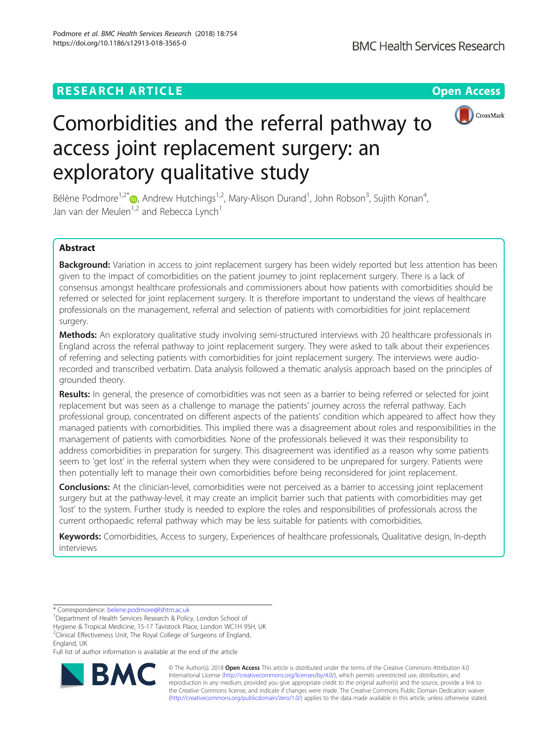# **RESEARCH ARTICLE Example 2018 12:30 THE Open Access**



# Comorbidities and the referral pathway to access joint replacement surgery: an exploratory qualitative study

Bélène Podmore<sup>1,2[\\*](http://orcid.org/0000-0001-6627-0378)</sup>®, Andrew Hutchings<sup>1,2</sup>, Mary-Alison Durand<sup>1</sup>, John Robson<sup>3</sup>, Sujith Konan<sup>4</sup> , Jan van der Meulen<sup>1,2</sup> and Rebecca Lynch<sup>1</sup>

# Abstract

Background: Variation in access to joint replacement surgery has been widely reported but less attention has been given to the impact of comorbidities on the patient journey to joint replacement surgery. There is a lack of consensus amongst healthcare professionals and commissioners about how patients with comorbidities should be referred or selected for joint replacement surgery. It is therefore important to understand the views of healthcare professionals on the management, referral and selection of patients with comorbidities for joint replacement surgery.

Methods: An exploratory qualitative study involving semi-structured interviews with 20 healthcare professionals in England across the referral pathway to joint replacement surgery. They were asked to talk about their experiences of referring and selecting patients with comorbidities for joint replacement surgery. The interviews were audiorecorded and transcribed verbatim. Data analysis followed a thematic analysis approach based on the principles of grounded theory.

Results: In general, the presence of comorbidities was not seen as a barrier to being referred or selected for joint replacement but was seen as a challenge to manage the patients' journey across the referral pathway. Each professional group, concentrated on different aspects of the patients' condition which appeared to affect how they managed patients with comorbidities. This implied there was a disagreement about roles and responsibilities in the management of patients with comorbidities. None of the professionals believed it was their responsibility to address comorbidities in preparation for surgery. This disagreement was identified as a reason why some patients seem to 'get lost' in the referral system when they were considered to be unprepared for surgery. Patients were then potentially left to manage their own comorbidities before being reconsidered for joint replacement.

**Conclusions:** At the clinician-level, comorbidities were not perceived as a barrier to accessing joint replacement surgery but at the pathway-level, it may create an implicit barrier such that patients with comorbidities may get 'lost' to the system. Further study is needed to explore the roles and responsibilities of professionals across the current orthopaedic referral pathway which may be less suitable for patients with comorbidities.

Keywords: Comorbidities, Access to surgery, Experiences of healthcare professionals, Qualitative design, In-depth interviews

Hygiene & Tropical Medicine, 15-17 Tavistock Place, London WC1H 9SH, UK <sup>2</sup>Clinical Effectiveness Unit, The Royal College of Surgeons of England,

England, UK

Full list of author information is available at the end of the article



© The Author(s). 2018 Open Access This article is distributed under the terms of the Creative Commons Attribution 4.0 International License [\(http://creativecommons.org/licenses/by/4.0/](http://creativecommons.org/licenses/by/4.0/)), which permits unrestricted use, distribution, and reproduction in any medium, provided you give appropriate credit to the original author(s) and the source, provide a link to the Creative Commons license, and indicate if changes were made. The Creative Commons Public Domain Dedication waiver [\(http://creativecommons.org/publicdomain/zero/1.0/](http://creativecommons.org/publicdomain/zero/1.0/)) applies to the data made available in this article, unless otherwise stated.

<sup>\*</sup> Correspondence: [belene.podmore@lshtm.ac.uk](mailto:belene.podmore@lshtm.ac.uk) <sup>1</sup>

<sup>&</sup>lt;sup>1</sup>Department of Health Services Research & Policy, London School of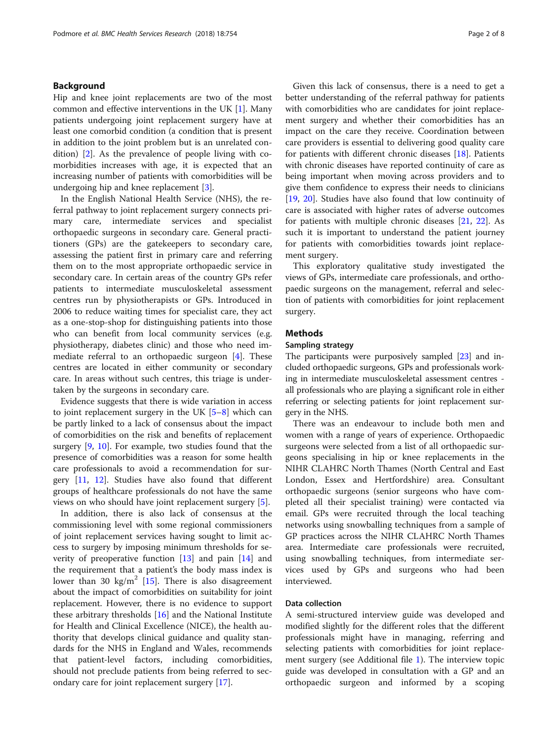# Background

Hip and knee joint replacements are two of the most common and effective interventions in the UK [\[1\]](#page-7-0). Many patients undergoing joint replacement surgery have at least one comorbid condition (a condition that is present in addition to the joint problem but is an unrelated condition) [\[2](#page-7-0)]. As the prevalence of people living with comorbidities increases with age, it is expected that an increasing number of patients with comorbidities will be undergoing hip and knee replacement [[3](#page-7-0)].

In the English National Health Service (NHS), the referral pathway to joint replacement surgery connects primary care, intermediate services and specialist orthopaedic surgeons in secondary care. General practitioners (GPs) are the gatekeepers to secondary care, assessing the patient first in primary care and referring them on to the most appropriate orthopaedic service in secondary care. In certain areas of the country GPs refer patients to intermediate musculoskeletal assessment centres run by physiotherapists or GPs. Introduced in 2006 to reduce waiting times for specialist care, they act as a one-stop-shop for distinguishing patients into those who can benefit from local community services (e.g. physiotherapy, diabetes clinic) and those who need immediate referral to an orthopaedic surgeon [[4\]](#page-7-0). These centres are located in either community or secondary care. In areas without such centres, this triage is undertaken by the surgeons in secondary care.

Evidence suggests that there is wide variation in access to joint replacement surgery in the UK  $[5-8]$  $[5-8]$  $[5-8]$  which can be partly linked to a lack of consensus about the impact of comorbidities on the risk and benefits of replacement surgery [\[9](#page-7-0), [10\]](#page-7-0). For example, two studies found that the presence of comorbidities was a reason for some health care professionals to avoid a recommendation for surgery [\[11,](#page-7-0) [12\]](#page-7-0). Studies have also found that different groups of healthcare professionals do not have the same views on who should have joint replacement surgery [\[5](#page-7-0)].

In addition, there is also lack of consensus at the commissioning level with some regional commissioners of joint replacement services having sought to limit access to surgery by imposing minimum thresholds for severity of preoperative function [[13](#page-7-0)] and pain [[14\]](#page-7-0) and the requirement that a patient's the body mass index is lower than 30 kg/m<sup>2</sup> [\[15\]](#page-7-0). There is also disagreement about the impact of comorbidities on suitability for joint replacement. However, there is no evidence to support these arbitrary thresholds [[16\]](#page-7-0) and the National Institute for Health and Clinical Excellence (NICE), the health authority that develops clinical guidance and quality standards for the NHS in England and Wales, recommends that patient-level factors, including comorbidities, should not preclude patients from being referred to secondary care for joint replacement surgery [\[17](#page-7-0)].

Given this lack of consensus, there is a need to get a better understanding of the referral pathway for patients with comorbidities who are candidates for joint replacement surgery and whether their comorbidities has an impact on the care they receive. Coordination between care providers is essential to delivering good quality care for patients with different chronic diseases [[18](#page-7-0)]. Patients with chronic diseases have reported continuity of care as being important when moving across providers and to give them confidence to express their needs to clinicians [[19,](#page-7-0) [20\]](#page-7-0). Studies have also found that low continuity of care is associated with higher rates of adverse outcomes for patients with multiple chronic diseases [\[21](#page-7-0), [22](#page-7-0)]. As such it is important to understand the patient journey for patients with comorbidities towards joint replacement surgery.

This exploratory qualitative study investigated the views of GPs, intermediate care professionals, and orthopaedic surgeons on the management, referral and selection of patients with comorbidities for joint replacement surgery.

# Methods

# Sampling strategy

The participants were purposively sampled [[23](#page-7-0)] and included orthopaedic surgeons, GPs and professionals working in intermediate musculoskeletal assessment centres all professionals who are playing a significant role in either referring or selecting patients for joint replacement surgery in the NHS.

There was an endeavour to include both men and women with a range of years of experience. Orthopaedic surgeons were selected from a list of all orthopaedic surgeons specialising in hip or knee replacements in the NIHR CLAHRC North Thames (North Central and East London, Essex and Hertfordshire) area. Consultant orthopaedic surgeons (senior surgeons who have completed all their specialist training) were contacted via email. GPs were recruited through the local teaching networks using snowballing techniques from a sample of GP practices across the NIHR CLAHRC North Thames area. Intermediate care professionals were recruited, using snowballing techniques, from intermediate services used by GPs and surgeons who had been interviewed.

# Data collection

A semi-structured interview guide was developed and modified slightly for the different roles that the different professionals might have in managing, referring and selecting patients with comorbidities for joint replacement surgery (see Additional file [1\)](#page-6-0). The interview topic guide was developed in consultation with a GP and an orthopaedic surgeon and informed by a scoping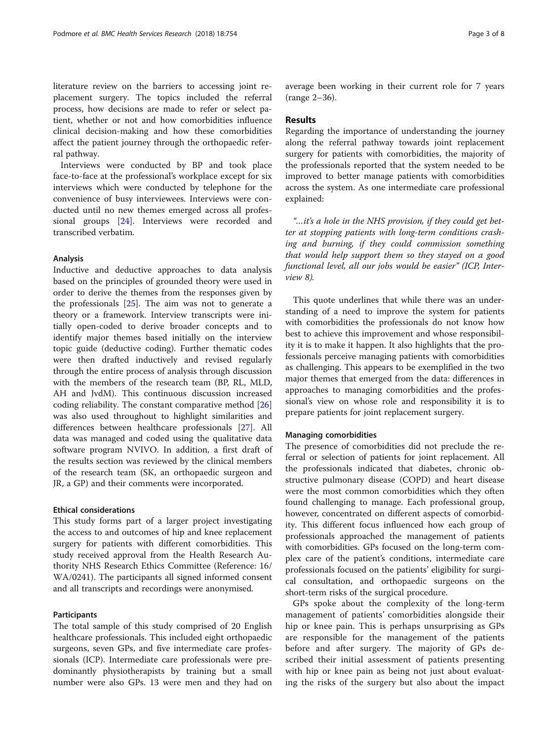literature review on the barriers to accessing joint replacement surgery. The topics included the referral process, how decisions are made to refer or select patient, whether or not and how comorbidities influence clinical decision-making and how these comorbidities affect the patient journey through the orthopaedic referral pathway.

Interviews were conducted by BP and took place face-to-face at the professional's workplace except for six interviews which were conducted by telephone for the convenience of busy interviewees. Interviews were conducted until no new themes emerged across all professional groups [[24](#page-7-0)]. Interviews were recorded and transcribed verbatim.

# Analysis

Inductive and deductive approaches to data analysis based on the principles of grounded theory were used in order to derive the themes from the responses given by the professionals [[25\]](#page-7-0). The aim was not to generate a theory or a framework. Interview transcripts were initially open-coded to derive broader concepts and to identify major themes based initially on the interview topic guide (deductive coding). Further thematic codes were then drafted inductively and revised regularly through the entire process of analysis through discussion with the members of the research team (BP, RL, MLD, AH and JvdM). This continuous discussion increased coding reliability. The constant comparative method [[26](#page-7-0)] was also used throughout to highlight similarities and differences between healthcare professionals [\[27\]](#page-7-0). All data was managed and coded using the qualitative data software program NVIVO. In addition, a first draft of the results section was reviewed by the clinical members of the research team (SK, an orthopaedic surgeon and JR, a GP) and their comments were incorporated.

# Ethical considerations

This study forms part of a larger project investigating the access to and outcomes of hip and knee replacement surgery for patients with different comorbidities. This study received approval from the Health Research Authority NHS Research Ethics Committee (Reference: 16/ WA/0241). The participants all signed informed consent and all transcripts and recordings were anonymised.

# Participants

The total sample of this study comprised of 20 English healthcare professionals. This included eight orthopaedic surgeons, seven GPs, and five intermediate care professionals (ICP). Intermediate care professionals were predominantly physiotherapists by training but a small number were also GPs. 13 were men and they had on average been working in their current role for 7 years (range 2–36).

# Results

Regarding the importance of understanding the journey along the referral pathway towards joint replacement surgery for patients with comorbidities, the majority of the professionals reported that the system needed to be improved to better manage patients with comorbidities across the system. As one intermediate care professional explained:

"…it's a hole in the NHS provision, if they could get better at stopping patients with long-term conditions crashing and burning, if they could commission something that would help support them so they stayed on a good functional level, all our jobs would be easier" (ICP, Interview 8).

This quote underlines that while there was an understanding of a need to improve the system for patients with comorbidities the professionals do not know how best to achieve this improvement and whose responsibility it is to make it happen. It also highlights that the professionals perceive managing patients with comorbidities as challenging. This appears to be exemplified in the two major themes that emerged from the data: differences in approaches to managing comorbidities and the professional's view on whose role and responsibility it is to prepare patients for joint replacement surgery.

# Managing comorbidities

The presence of comorbidities did not preclude the referral or selection of patients for joint replacement. All the professionals indicated that diabetes, chronic obstructive pulmonary disease (COPD) and heart disease were the most common comorbidities which they often found challenging to manage. Each professional group, however, concentrated on different aspects of comorbidity. This different focus influenced how each group of professionals approached the management of patients with comorbidities. GPs focused on the long-term complex care of the patient's conditions, intermediate care professionals focused on the patients' eligibility for surgical consultation, and orthopaedic surgeons on the short-term risks of the surgical procedure.

GPs spoke about the complexity of the long-term management of patients' comorbidities alongside their hip or knee pain. This is perhaps unsurprising as GPs are responsible for the management of the patients before and after surgery. The majority of GPs described their initial assessment of patients presenting with hip or knee pain as being not just about evaluating the risks of the surgery but also about the impact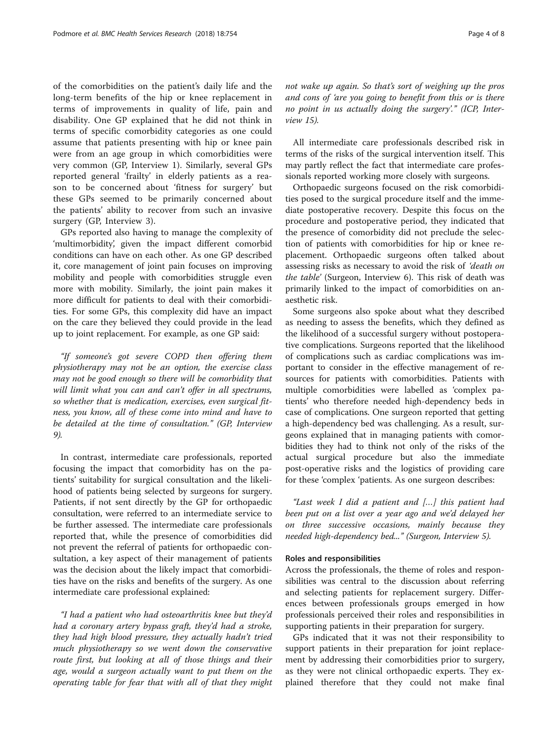of the comorbidities on the patient's daily life and the long-term benefits of the hip or knee replacement in terms of improvements in quality of life, pain and disability. One GP explained that he did not think in terms of specific comorbidity categories as one could assume that patients presenting with hip or knee pain were from an age group in which comorbidities were very common (GP, Interview 1). Similarly, several GPs reported general 'frailty' in elderly patients as a reason to be concerned about 'fitness for surgery' but these GPs seemed to be primarily concerned about the patients' ability to recover from such an invasive surgery (GP, Interview 3).

GPs reported also having to manage the complexity of 'multimorbidity', given the impact different comorbid conditions can have on each other. As one GP described it, core management of joint pain focuses on improving mobility and people with comorbidities struggle even more with mobility. Similarly, the joint pain makes it more difficult for patients to deal with their comorbidities. For some GPs, this complexity did have an impact on the care they believed they could provide in the lead up to joint replacement. For example, as one GP said:

"If someone's got severe COPD then offering them physiotherapy may not be an option, the exercise class may not be good enough so there will be comorbidity that will limit what you can and can't offer in all spectrums, so whether that is medication, exercises, even surgical fitness, you know, all of these come into mind and have to be detailed at the time of consultation." (GP, Interview 9).

In contrast, intermediate care professionals, reported focusing the impact that comorbidity has on the patients' suitability for surgical consultation and the likelihood of patients being selected by surgeons for surgery. Patients, if not sent directly by the GP for orthopaedic consultation, were referred to an intermediate service to be further assessed. The intermediate care professionals reported that, while the presence of comorbidities did not prevent the referral of patients for orthopaedic consultation, a key aspect of their management of patients was the decision about the likely impact that comorbidities have on the risks and benefits of the surgery. As one intermediate care professional explained:

"I had a patient who had osteoarthritis knee but they'd had a coronary artery bypass graft, they'd had a stroke, they had high blood pressure, they actually hadn't tried much physiotherapy so we went down the conservative route first, but looking at all of those things and their age, would a surgeon actually want to put them on the operating table for fear that with all of that they might

not wake up again. So that's sort of weighing up the pros and cons of 'are you going to benefit from this or is there no point in us actually doing the surgery'." (ICP, Interview 15).

All intermediate care professionals described risk in terms of the risks of the surgical intervention itself. This may partly reflect the fact that intermediate care professionals reported working more closely with surgeons.

Orthopaedic surgeons focused on the risk comorbidities posed to the surgical procedure itself and the immediate postoperative recovery. Despite this focus on the procedure and postoperative period, they indicated that the presence of comorbidity did not preclude the selection of patients with comorbidities for hip or knee replacement. Orthopaedic surgeons often talked about assessing risks as necessary to avoid the risk of 'death on the table' (Surgeon, Interview 6). This risk of death was primarily linked to the impact of comorbidities on anaesthetic risk.

Some surgeons also spoke about what they described as needing to assess the benefits, which they defined as the likelihood of a successful surgery without postoperative complications. Surgeons reported that the likelihood of complications such as cardiac complications was important to consider in the effective management of resources for patients with comorbidities. Patients with multiple comorbidities were labelled as 'complex patients' who therefore needed high-dependency beds in case of complications. One surgeon reported that getting a high-dependency bed was challenging. As a result, surgeons explained that in managing patients with comorbidities they had to think not only of the risks of the actual surgical procedure but also the immediate post-operative risks and the logistics of providing care for these 'complex 'patients. As one surgeon describes:

"Last week I did a patient and […] this patient had been put on a list over a year ago and we'd delayed her on three successive occasions, mainly because they needed high-dependency bed..." (Surgeon, Interview 5).

# Roles and responsibilities

Across the professionals, the theme of roles and responsibilities was central to the discussion about referring and selecting patients for replacement surgery. Differences between professionals groups emerged in how professionals perceived their roles and responsibilities in supporting patients in their preparation for surgery.

GPs indicated that it was not their responsibility to support patients in their preparation for joint replacement by addressing their comorbidities prior to surgery, as they were not clinical orthopaedic experts. They explained therefore that they could not make final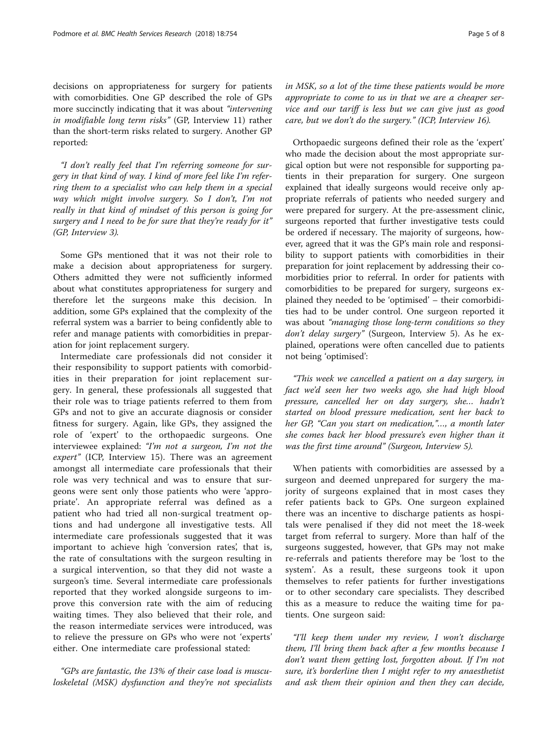decisions on appropriateness for surgery for patients with comorbidities. One GP described the role of GPs more succinctly indicating that it was about "intervening in modifiable long term risks" (GP, Interview 11) rather than the short-term risks related to surgery. Another GP reported:

"I don't really feel that I'm referring someone for surgery in that kind of way. I kind of more feel like I'm referring them to a specialist who can help them in a special way which might involve surgery. So I don't, I'm not really in that kind of mindset of this person is going for surgery and I need to be for sure that they're ready for it" (GP, Interview 3).

Some GPs mentioned that it was not their role to make a decision about appropriateness for surgery. Others admitted they were not sufficiently informed about what constitutes appropriateness for surgery and therefore let the surgeons make this decision. In addition, some GPs explained that the complexity of the referral system was a barrier to being confidently able to refer and manage patients with comorbidities in preparation for joint replacement surgery.

Intermediate care professionals did not consider it their responsibility to support patients with comorbidities in their preparation for joint replacement surgery. In general, these professionals all suggested that their role was to triage patients referred to them from GPs and not to give an accurate diagnosis or consider fitness for surgery. Again, like GPs, they assigned the role of 'expert' to the orthopaedic surgeons. One interviewee explained: "I'm not a surgeon, I'm not the expert" (ICP, Interview 15). There was an agreement amongst all intermediate care professionals that their role was very technical and was to ensure that surgeons were sent only those patients who were 'appropriate'. An appropriate referral was defined as a patient who had tried all non-surgical treatment options and had undergone all investigative tests. All intermediate care professionals suggested that it was important to achieve high 'conversion rates', that is, the rate of consultations with the surgeon resulting in a surgical intervention, so that they did not waste a surgeon's time. Several intermediate care professionals reported that they worked alongside surgeons to improve this conversion rate with the aim of reducing waiting times. They also believed that their role, and the reason intermediate services were introduced, was to relieve the pressure on GPs who were not 'experts' either. One intermediate care professional stated:

"GPs are fantastic, the 13% of their case load is musculoskeletal (MSK) dysfunction and they're not specialists

in MSK, so a lot of the time these patients would be more appropriate to come to us in that we are a cheaper service and our tariff is less but we can give just as good care, but we don't do the surgery." (ICP, Interview 16).

Orthopaedic surgeons defined their role as the 'expert' who made the decision about the most appropriate surgical option but were not responsible for supporting patients in their preparation for surgery. One surgeon explained that ideally surgeons would receive only appropriate referrals of patients who needed surgery and were prepared for surgery. At the pre-assessment clinic, surgeons reported that further investigative tests could be ordered if necessary. The majority of surgeons, however, agreed that it was the GP's main role and responsibility to support patients with comorbidities in their preparation for joint replacement by addressing their comorbidities prior to referral. In order for patients with comorbidities to be prepared for surgery, surgeons explained they needed to be 'optimised' – their comorbidities had to be under control. One surgeon reported it was about "managing those long-term conditions so they don't delay surgery" (Surgeon, Interview 5). As he explained, operations were often cancelled due to patients not being 'optimised':

"This week we cancelled a patient on a day surgery, in fact we'd seen her two weeks ago, she had high blood pressure, cancelled her on day surgery, she… hadn't started on blood pressure medication, sent her back to her GP, "Can you start on medication,"…, a month later she comes back her blood pressure's even higher than it was the first time around" (Surgeon, Interview 5).

When patients with comorbidities are assessed by a surgeon and deemed unprepared for surgery the majority of surgeons explained that in most cases they refer patients back to GPs. One surgeon explained there was an incentive to discharge patients as hospitals were penalised if they did not meet the 18-week target from referral to surgery. More than half of the surgeons suggested, however, that GPs may not make re-referrals and patients therefore may be 'lost to the system'. As a result, these surgeons took it upon themselves to refer patients for further investigations or to other secondary care specialists. They described this as a measure to reduce the waiting time for patients. One surgeon said:

"I'll keep them under my review, I won't discharge them, I'll bring them back after a few months because I don't want them getting lost, forgotten about. If I'm not sure, it's borderline then I might refer to my anaesthetist and ask them their opinion and then they can decide,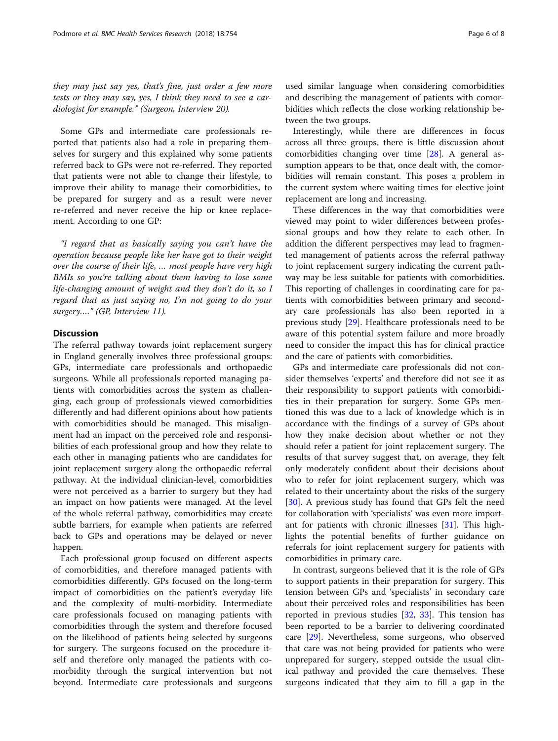they may just say yes, that's fine, just order a few more tests or they may say, yes, I think they need to see a cardiologist for example." (Surgeon, Interview 20).

Some GPs and intermediate care professionals reported that patients also had a role in preparing themselves for surgery and this explained why some patients referred back to GPs were not re-referred. They reported that patients were not able to change their lifestyle, to improve their ability to manage their comorbidities, to be prepared for surgery and as a result were never re-referred and never receive the hip or knee replacement. According to one GP:

"I regard that as basically saying you can't have the operation because people like her have got to their weight over the course of their life, … most people have very high BMIs so you're talking about them having to lose some life-changing amount of weight and they don't do it, so I regard that as just saying no, I'm not going to do your surgery...." (GP, Interview 11).

# **Discussion**

The referral pathway towards joint replacement surgery in England generally involves three professional groups: GPs, intermediate care professionals and orthopaedic surgeons. While all professionals reported managing patients with comorbidities across the system as challenging, each group of professionals viewed comorbidities differently and had different opinions about how patients with comorbidities should be managed. This misalignment had an impact on the perceived role and responsibilities of each professional group and how they relate to each other in managing patients who are candidates for joint replacement surgery along the orthopaedic referral pathway. At the individual clinician-level, comorbidities were not perceived as a barrier to surgery but they had an impact on how patients were managed. At the level of the whole referral pathway, comorbidities may create subtle barriers, for example when patients are referred back to GPs and operations may be delayed or never happen.

Each professional group focused on different aspects of comorbidities, and therefore managed patients with comorbidities differently. GPs focused on the long-term impact of comorbidities on the patient's everyday life and the complexity of multi-morbidity. Intermediate care professionals focused on managing patients with comorbidities through the system and therefore focused on the likelihood of patients being selected by surgeons for surgery. The surgeons focused on the procedure itself and therefore only managed the patients with comorbidity through the surgical intervention but not beyond. Intermediate care professionals and surgeons

used similar language when considering comorbidities and describing the management of patients with comorbidities which reflects the close working relationship between the two groups.

Interestingly, while there are differences in focus across all three groups, there is little discussion about comorbidities changing over time [[28](#page-7-0)]. A general assumption appears to be that, once dealt with, the comorbidities will remain constant. This poses a problem in the current system where waiting times for elective joint replacement are long and increasing.

These differences in the way that comorbidities were viewed may point to wider differences between professional groups and how they relate to each other. In addition the different perspectives may lead to fragmented management of patients across the referral pathway to joint replacement surgery indicating the current pathway may be less suitable for patients with comorbidities. This reporting of challenges in coordinating care for patients with comorbidities between primary and secondary care professionals has also been reported in a previous study [[29](#page-7-0)]. Healthcare professionals need to be aware of this potential system failure and more broadly need to consider the impact this has for clinical practice and the care of patients with comorbidities.

GPs and intermediate care professionals did not consider themselves 'experts' and therefore did not see it as their responsibility to support patients with comorbidities in their preparation for surgery. Some GPs mentioned this was due to a lack of knowledge which is in accordance with the findings of a survey of GPs about how they make decision about whether or not they should refer a patient for joint replacement surgery. The results of that survey suggest that, on average, they felt only moderately confident about their decisions about who to refer for joint replacement surgery, which was related to their uncertainty about the risks of the surgery [[30\]](#page-7-0). A previous study has found that GPs felt the need for collaboration with 'specialists' was even more important for patients with chronic illnesses [[31](#page-7-0)]. This highlights the potential benefits of further guidance on referrals for joint replacement surgery for patients with comorbidities in primary care.

In contrast, surgeons believed that it is the role of GPs to support patients in their preparation for surgery. This tension between GPs and 'specialists' in secondary care about their perceived roles and responsibilities has been reported in previous studies [[32,](#page-7-0) [33](#page-7-0)]. This tension has been reported to be a barrier to delivering coordinated care [[29\]](#page-7-0). Nevertheless, some surgeons, who observed that care was not being provided for patients who were unprepared for surgery, stepped outside the usual clinical pathway and provided the care themselves. These surgeons indicated that they aim to fill a gap in the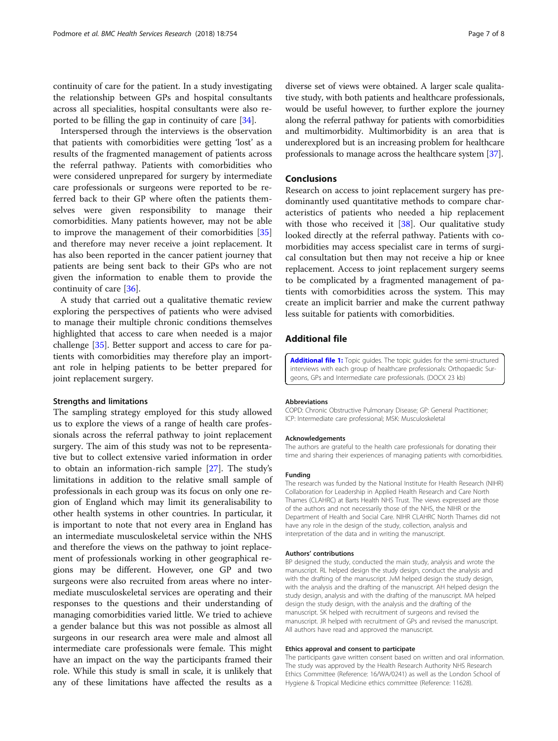<span id="page-6-0"></span>continuity of care for the patient. In a study investigating the relationship between GPs and hospital consultants across all specialities, hospital consultants were also reported to be filling the gap in continuity of care [[34](#page-7-0)].

Interspersed through the interviews is the observation that patients with comorbidities were getting 'lost' as a results of the fragmented management of patients across the referral pathway. Patients with comorbidities who were considered unprepared for surgery by intermediate care professionals or surgeons were reported to be referred back to their GP where often the patients themselves were given responsibility to manage their comorbidities. Many patients however, may not be able to improve the management of their comorbidities [[35](#page-7-0)] and therefore may never receive a joint replacement. It has also been reported in the cancer patient journey that patients are being sent back to their GPs who are not given the information to enable them to provide the continuity of care [\[36\]](#page-7-0).

A study that carried out a qualitative thematic review exploring the perspectives of patients who were advised to manage their multiple chronic conditions themselves highlighted that access to care when needed is a major challenge [\[35](#page-7-0)]. Better support and access to care for patients with comorbidities may therefore play an important role in helping patients to be better prepared for joint replacement surgery.

# Strengths and limitations

The sampling strategy employed for this study allowed us to explore the views of a range of health care professionals across the referral pathway to joint replacement surgery. The aim of this study was not to be representative but to collect extensive varied information in order to obtain an information-rich sample [\[27\]](#page-7-0). The study's limitations in addition to the relative small sample of professionals in each group was its focus on only one region of England which may limit its generalisability to other health systems in other countries. In particular, it is important to note that not every area in England has an intermediate musculoskeletal service within the NHS and therefore the views on the pathway to joint replacement of professionals working in other geographical regions may be different. However, one GP and two surgeons were also recruited from areas where no intermediate musculoskeletal services are operating and their responses to the questions and their understanding of managing comorbidities varied little. We tried to achieve a gender balance but this was not possible as almost all surgeons in our research area were male and almost all intermediate care professionals were female. This might have an impact on the way the participants framed their role. While this study is small in scale, it is unlikely that any of these limitations have affected the results as a

diverse set of views were obtained. A larger scale qualitative study, with both patients and healthcare professionals, would be useful however, to further explore the journey along the referral pathway for patients with comorbidities and multimorbidity. Multimorbidity is an area that is underexplored but is an increasing problem for healthcare professionals to manage across the healthcare system [\[37](#page-7-0)].

# Conclusions

Research on access to joint replacement surgery has predominantly used quantitative methods to compare characteristics of patients who needed a hip replacement with those who received it  $[38]$  $[38]$ . Our qualitative study looked directly at the referral pathway. Patients with comorbidities may access specialist care in terms of surgical consultation but then may not receive a hip or knee replacement. Access to joint replacement surgery seems to be complicated by a fragmented management of patients with comorbidities across the system. This may create an implicit barrier and make the current pathway less suitable for patients with comorbidities.

# Additional file

[Additional file 1:](https://doi.org/10.1186/s12913-018-3565-0) Topic quides. The topic quides for the semi-structured interviews with each group of healthcare professionals: Orthopaedic Surgeons, GPs and Intermediate care professionals. (DOCX 23 kb)

#### Abbreviations

COPD: Chronic Obstructive Pulmonary Disease; GP: General Practitioner; ICP: Intermediate care professional; MSK: Musculoskeletal

#### Acknowledgements

The authors are grateful to the health care professionals for donating their time and sharing their experiences of managing patients with comorbidities.

#### Funding

The research was funded by the National Institute for Health Research (NIHR) Collaboration for Leadership in Applied Health Research and Care North Thames (CLAHRC) at Barts Health NHS Trust. The views expressed are those of the authors and not necessarily those of the NHS, the NIHR or the Department of Health and Social Care. NIHR CLAHRC North Thames did not have any role in the design of the study, collection, analysis and interpretation of the data and in writing the manuscript.

#### Authors' contributions

BP designed the study, conducted the main study, analysis and wrote the manuscript. RL helped design the study design, conduct the analysis and with the drafting of the manuscript. JvM helped design the study design, with the analysis and the drafting of the manuscript. AH helped design the study design, analysis and with the drafting of the manuscript. MA helped design the study design, with the analysis and the drafting of the manuscript. SK helped with recruitment of surgeons and revised the manuscript. JR helped with recruitment of GPs and revised the manuscript. All authors have read and approved the manuscript.

#### Ethics approval and consent to participate

The participants gave written consent based on written and oral information. The study was approved by the Health Research Authority NHS Research Ethics Committee (Reference: 16/WA/0241) as well as the London School of Hygiene & Tropical Medicine ethics committee (Reference: 11628).